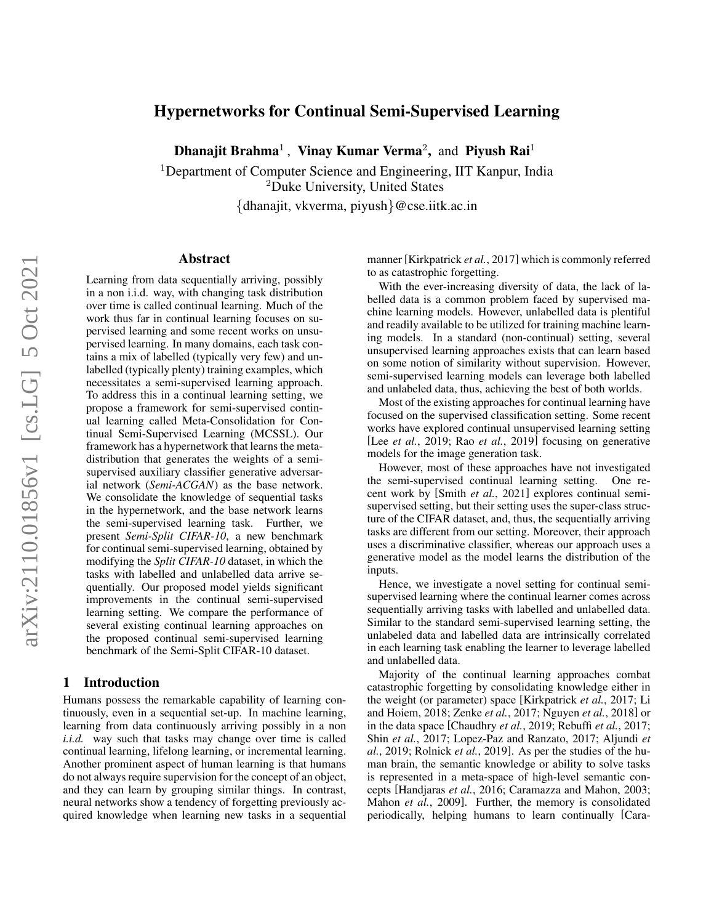# Hypernetworks for Continual Semi-Supervised Learning

Dhanajit Brahma<sup>1</sup>, Vinay Kumar Verma<sup>2</sup>, and Piyush Rai<sup>1</sup>

<sup>1</sup>Department of Computer Science and Engineering, IIT Kanpur, India <sup>2</sup>Duke University, United States {dhanajit, vkverma, piyush}@cse.iitk.ac.in

#### Abstract

Learning from data sequentially arriving, possibly in a non i.i.d. way, with changing task distribution over time is called continual learning. Much of the work thus far in continual learning focuses on supervised learning and some recent works on unsupervised learning. In many domains, each task contains a mix of labelled (typically very few) and unlabelled (typically plenty) training examples, which necessitates a semi-supervised learning approach. To address this in a continual learning setting, we propose a framework for semi-supervised continual learning called Meta-Consolidation for Continual Semi-Supervised Learning (MCSSL). Our framework has a hypernetwork that learns the metadistribution that generates the weights of a semisupervised auxiliary classifier generative adversarial network (*Semi-ACGAN*) as the base network. We consolidate the knowledge of sequential tasks in the hypernetwork, and the base network learns the semi-supervised learning task. Further, we present *Semi-Split CIFAR-10*, a new benchmark for continual semi-supervised learning, obtained by modifying the *Split CIFAR-10* dataset, in which the tasks with labelled and unlabelled data arrive sequentially. Our proposed model yields significant improvements in the continual semi-supervised learning setting. We compare the performance of several existing continual learning approaches on the proposed continual semi-supervised learning benchmark of the Semi-Split CIFAR-10 dataset.

### 1 Introduction

Humans possess the remarkable capability of learning continuously, even in a sequential set-up. In machine learning, learning from data continuously arriving possibly in a non *i.i.d.* way such that tasks may change over time is called continual learning, lifelong learning, or incremental learning. Another prominent aspect of human learning is that humans do not always require supervision for the concept of an object, and they can learn by grouping similar things. In contrast, neural networks show a tendency of forgetting previously acquired knowledge when learning new tasks in a sequential manner [\[Kirkpatrick](#page-6-0) *et al.*, 2017] which is commonly referred to as catastrophic forgetting.

With the ever-increasing diversity of data, the lack of labelled data is a common problem faced by supervised machine learning models. However, unlabelled data is plentiful and readily available to be utilized for training machine learning models. In a standard (non-continual) setting, several unsupervised learning approaches exists that can learn based on some notion of similarity without supervision. However, semi-supervised learning models can leverage both labelled and unlabeled data, thus, achieving the best of both worlds.

Most of the existing approaches for continual learning have focused on the supervised classification setting. Some recent works have explored continual unsupervised learning setting [Lee *et al.*[, 2019;](#page-6-1) Rao *et al.*[, 2019\]](#page-6-2) focusing on generative models for the image generation task.

However, most of these approaches have not investigated the semi-supervised continual learning setting. One recent work by [Smith *et al.*[, 2021\]](#page-6-3) explores continual semisupervised setting, but their setting uses the super-class structure of the CIFAR dataset, and, thus, the sequentially arriving tasks are different from our setting. Moreover, their approach uses a discriminative classifier, whereas our approach uses a generative model as the model learns the distribution of the inputs.

Hence, we investigate a novel setting for continual semisupervised learning where the continual learner comes across sequentially arriving tasks with labelled and unlabelled data. Similar to the standard semi-supervised learning setting, the unlabeled data and labelled data are intrinsically correlated in each learning task enabling the learner to leverage labelled and unlabelled data.

Majority of the continual learning approaches combat catastrophic forgetting by consolidating knowledge either in the weight (or parameter) space [\[Kirkpatrick](#page-6-0) *et al.*, 2017; [Li](#page-6-4) [and Hoiem, 2018;](#page-6-4) [Zenke](#page-6-5) *et al.*, 2017; [Nguyen](#page-6-6) *et al.*, 2018] or in the data space [\[Chaudhry](#page-6-7) *et al.*, 2019; [Rebuffi](#page-6-8) *et al.*, 2017; Shin *et al.*[, 2017;](#page-6-9) [Lopez-Paz and Ranzato, 2017;](#page-6-10) [Aljundi](#page-6-11) *et al.*[, 2019;](#page-6-11) [Rolnick](#page-6-12) *et al.*, 2019]. As per the studies of the human brain, the semantic knowledge or ability to solve tasks is represented in a meta-space of high-level semantic concepts [\[Handjaras](#page-6-13) *et al.*, 2016; [Caramazza and Mahon, 2003;](#page-6-14) Mahon *et al.*[, 2009\]](#page-6-15). Further, the memory is consolidated periodically, helping humans to learn continually [\[Cara-](#page-6-16)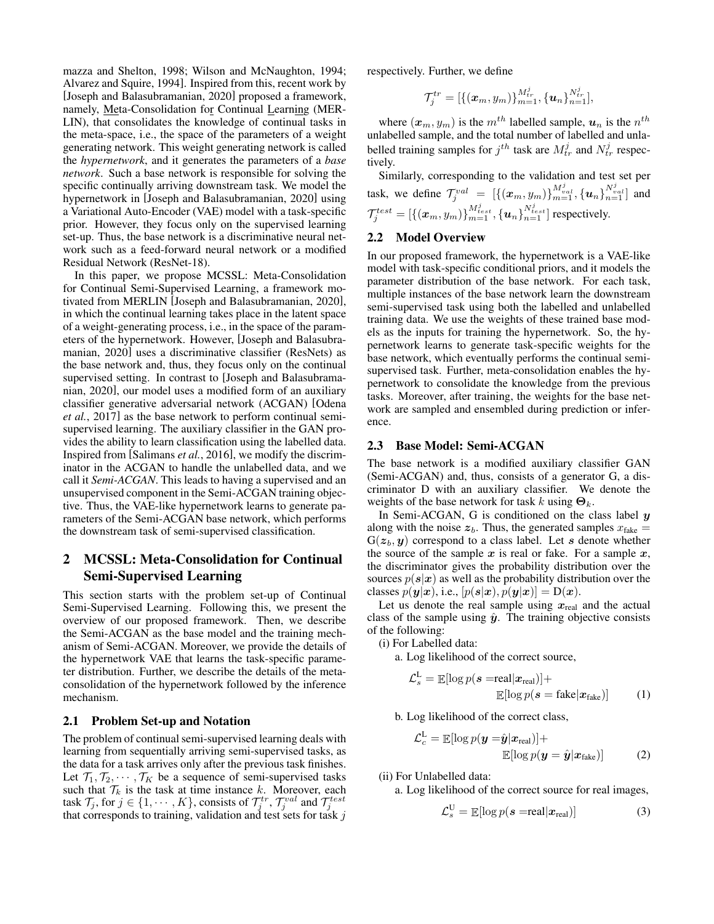[mazza and Shelton, 1998;](#page-6-16) [Wilson and McNaughton, 1994;](#page-6-17) [Alvarez and Squire, 1994\]](#page-6-18). Inspired from this, recent work by [\[Joseph and Balasubramanian, 2020\]](#page-6-19) proposed a framework, namely, Meta-Consolidation for Continual Learning (MER-LIN), that consolidates the knowledge of continual tasks in the meta-space, i.e., the space of the parameters of a weight generating network. This weight generating network is called the *hypernetwork*, and it generates the parameters of a *base network*. Such a base network is responsible for solving the specific continually arriving downstream task. We model the hypernetwork in [\[Joseph and Balasubramanian, 2020\]](#page-6-19) using a Variational Auto-Encoder (VAE) model with a task-specific prior. However, they focus only on the supervised learning set-up. Thus, the base network is a discriminative neural network such as a feed-forward neural network or a modified Residual Network (ResNet-18).

In this paper, we propose MCSSL: Meta-Consolidation for Continual Semi-Supervised Learning, a framework motivated from MERLIN [\[Joseph and Balasubramanian, 2020\]](#page-6-19), in which the continual learning takes place in the latent space of a weight-generating process, i.e., in the space of the parameters of the hypernetwork. However, [\[Joseph and Balasubra](#page-6-19)[manian, 2020\]](#page-6-19) uses a discriminative classifier (ResNets) as the base network and, thus, they focus only on the continual supervised setting. In contrast to [\[Joseph and Balasubrama](#page-6-19)[nian, 2020\]](#page-6-19), our model uses a modified form of an auxiliary classifier generative adversarial network (ACGAN) [\[Odena](#page-6-20) *et al.*[, 2017\]](#page-6-20) as the base network to perform continual semisupervised learning. The auxiliary classifier in the GAN provides the ability to learn classification using the labelled data. Inspired from [\[Salimans](#page-6-21) *et al.*, 2016], we modify the discriminator in the ACGAN to handle the unlabelled data, and we call it *Semi-ACGAN*. This leads to having a supervised and an unsupervised component in the Semi-ACGAN training objective. Thus, the VAE-like hypernetwork learns to generate parameters of the Semi-ACGAN base network, which performs the downstream task of semi-supervised classification.

## 2 MCSSL: Meta-Consolidation for Continual Semi-Supervised Learning

This section starts with the problem set-up of Continual Semi-Supervised Learning. Following this, we present the overview of our proposed framework. Then, we describe the Semi-ACGAN as the base model and the training mechanism of Semi-ACGAN. Moreover, we provide the details of the hypernetwork VAE that learns the task-specific parameter distribution. Further, we describe the details of the metaconsolidation of the hypernetwork followed by the inference mechanism.

#### 2.1 Problem Set-up and Notation

The problem of continual semi-supervised learning deals with learning from sequentially arriving semi-supervised tasks, as the data for a task arrives only after the previous task finishes. Let  $\mathcal{T}_1, \mathcal{T}_2, \cdots, \mathcal{T}_K$  be a sequence of semi-supervised tasks such that  $\mathcal{T}_k$  is the task at time instance k. Moreover, each task  $\mathcal{T}_j$ , for  $j \in \{1, \cdots, K\}$ , consists of  $\mathcal{T}_j^{tr}$ ,  $\mathcal{T}_j^{val}$  and  $\mathcal{T}_j^{test}$ that corresponds to training, validation and test sets for task  $j$ 

respectively. Further, we define

$$
\mathcal{T}_j^{tr} = [\{({\bm{x}}_m, y_m)\}_{m=1}^{M_{tr}^j}, \{{\bm{u}}_n\}_{n=1}^{N_{tr}^j}],
$$

where  $(x_m, y_m)$  is the  $m^{th}$  labelled sample,  $u_n$  is the  $n^{th}$ unlabelled sample, and the total number of labelled and unlabelled training samples for  $j^{th}$  task are  $M_{tr}^j$  and  $N_{tr}^j$  respectively.

Similarly, corresponding to the validation and test set per task, we define  $\mathcal{T}_j^{val} = [\{ (x_m, y_m) \}_{m=1}^{M_{val}^j}, \{ u_n \}_{n=1}^{N_{val}^j} ]$  and  $\mathcal{T}^{test}_j = [\{({\bm{x}}_m, y_m)\}_{m=1}^{M_{test}^j},\{{\bm{u}}_n\}_{n=1}^{N_{test}^j}]$  respectively.

### 2.2 Model Overview

In our proposed framework, the hypernetwork is a VAE-like model with task-specific conditional priors, and it models the parameter distribution of the base network. For each task, multiple instances of the base network learn the downstream semi-supervised task using both the labelled and unlabelled training data. We use the weights of these trained base models as the inputs for training the hypernetwork. So, the hypernetwork learns to generate task-specific weights for the base network, which eventually performs the continual semisupervised task. Further, meta-consolidation enables the hypernetwork to consolidate the knowledge from the previous tasks. Moreover, after training, the weights for the base network are sampled and ensembled during prediction or inference.

#### 2.3 Base Model: Semi-ACGAN

The base network is a modified auxiliary classifier GAN (Semi-ACGAN) and, thus, consists of a generator G, a discriminator D with an auxiliary classifier. We denote the weights of the base network for task k using  $\mathbf{\Theta}_k$ .

In Semi-ACGAN, G is conditioned on the class label  $y$ along with the noise  $z_b$ . Thus, the generated samples  $x_{\text{fake}} =$  $G(z_h, y)$  correspond to a class label. Let s denote whether the source of the sample  $x$  is real or fake. For a sample  $x$ , the discriminator gives the probability distribution over the sources  $p(s|x)$  as well as the probability distribution over the classes  $p(\mathbf{y}|\mathbf{x})$ , i.e.,  $[p(\mathbf{s}|\mathbf{x}), p(\mathbf{y}|\mathbf{x})] = D(\mathbf{x})$ .

Let us denote the real sample using  $x_{\text{real}}$  and the actual class of the sample using  $\hat{y}$ . The training objective consists of the following:

(i) For Labelled data:

a. Log likelihood of the correct source,

$$
\mathcal{L}_s^{\mathsf{L}} = \mathbb{E}[\log p(\mathbf{s} = \text{real}|\mathbf{x}_{\text{real}})] +
$$
  

$$
\mathbb{E}[\log p(\mathbf{s} = \text{fake}|\mathbf{x}_{\text{fake}})] \tag{1}
$$

b. Log likelihood of the correct class,

$$
\mathcal{L}_c^{\text{L}} = \mathbb{E}[\log p(\boldsymbol{y} = \hat{\boldsymbol{y}} | \boldsymbol{x}_{\text{real}})] +
$$
  

$$
\mathbb{E}[\log p(\boldsymbol{y} = \hat{\boldsymbol{y}} | \boldsymbol{x}_{\text{fake}})]
$$
 (2)

(ii) For Unlabelled data:

a. Log likelihood of the correct source for real images,

$$
\mathcal{L}_s^{\text{U}} = \mathbb{E}[\log p(\boldsymbol{s} = \text{real}|\boldsymbol{x}_{\text{real}})] \tag{3}
$$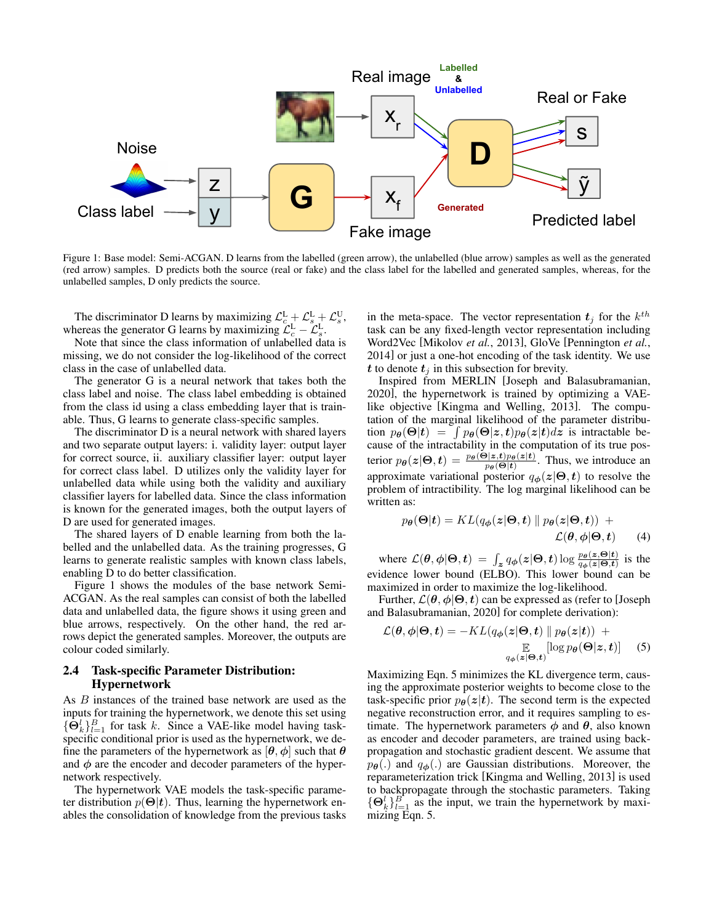<span id="page-2-0"></span>

Figure 1: Base model: Semi-ACGAN. D learns from the labelled (green arrow), the unlabelled (blue arrow) samples as well as the generated (red arrow) samples. D predicts both the source (real or fake) and the class label for the labelled and generated samples, whereas, for the unlabelled samples, D only predicts the source.

The discriminator D learns by maximizing  $\mathcal{L}_{c}^{\text{L}} + \mathcal{L}_{s}^{\text{L}} + \mathcal{L}_{s}^{\text{U}}$ , whereas the generator G learns by maximizing  $\mathcal{L}_{c}^{\text{L}} - \mathcal{L}_{s}^{\text{L}}$ .

Note that since the class information of unlabelled data is missing, we do not consider the log-likelihood of the correct class in the case of unlabelled data.

The generator G is a neural network that takes both the class label and noise. The class label embedding is obtained from the class id using a class embedding layer that is trainable. Thus, G learns to generate class-specific samples.

The discriminator D is a neural network with shared layers and two separate output layers: i. validity layer: output layer for correct source, ii. auxiliary classifier layer: output layer for correct class label. D utilizes only the validity layer for unlabelled data while using both the validity and auxiliary classifier layers for labelled data. Since the class information is known for the generated images, both the output layers of D are used for generated images.

The shared layers of D enable learning from both the labelled and the unlabelled data. As the training progresses, G learns to generate realistic samples with known class labels, enabling D to do better classification.

Figure [1](#page-2-0) shows the modules of the base network Semi-ACGAN. As the real samples can consist of both the labelled data and unlabelled data, the figure shows it using green and blue arrows, respectively. On the other hand, the red arrows depict the generated samples. Moreover, the outputs are colour coded similarly.

## 2.4 Task-specific Parameter Distribution: Hypernetwork

As B instances of the trained base network are used as the inputs for training the hypernetwork, we denote this set using  $\{\bar{\Theta}_k^l\}_{l=1}^B$  for task k. Since a VAE-like model having taskspecific conditional prior is used as the hypernetwork, we define the parameters of the hypernetwork as  $[\theta, \phi]$  such that  $\theta$ and  $\phi$  are the encoder and decoder parameters of the hypernetwork respectively.

The hypernetwork VAE models the task-specific parameter distribution  $p(\Theta|\mathbf{t})$ . Thus, learning the hypernetwork enables the consolidation of knowledge from the previous tasks

in the meta-space. The vector representation  $t_j$  for the  $k^{th}$ task can be any fixed-length vector representation including Word2Vec [\[Mikolov](#page-6-22) *et al.*, 2013], GloVe [\[Pennington](#page-6-23) *et al.*, [2014\]](#page-6-23) or just a one-hot encoding of the task identity. We use t to denote  $t_j$  in this subsection for brevity.

Inspired from MERLIN [\[Joseph and Balasubramanian,](#page-6-19) [2020\]](#page-6-19), the hypernetwork is trained by optimizing a VAElike objective [\[Kingma and Welling, 2013\]](#page-6-24). The computation of the marginal likelihood of the parameter distribution  $p_{\theta}(\Theta | t) = \int p_{\theta}(\Theta | z, t) p_{\theta}(z | t) dz$  is intractable because of the intractability in the computation of its true posterior  $p_{\theta}(z|\Theta, t) = \frac{p_{\theta}(\Theta|z, t)p_{\theta}(z|t)}{p_{\theta}(\Theta|t)}$ . Thus, we introduce an approximate variational posterior  $q_{\phi}(z|\Theta, t)$  to resolve the problem of intractibility. The log marginal likelihood can be written as:

$$
p_{\theta}(\Theta|t) = KL(q_{\phi}(z|\Theta, t) \| p_{\theta}(z|\Theta, t)) + \mathcal{L}(\theta, \phi|\Theta, t) \qquad (4)
$$

where  $\mathcal{L}(\theta, \phi | \Theta, t) = \int_{z} q_{\phi}(z | \Theta, t) \log \frac{p_{\theta}(z, \Theta | t)}{q_{\phi}(z | \Theta, t)}$  is the evidence lower bound (ELBO). This lower bound can be maximized in order to maximize the log-likelihood.

Further,  $\mathcal{L}(\theta, \phi | \Theta, t)$  can be expressed as (refer to [\[Joseph](#page-6-19)] [and Balasubramanian, 2020\]](#page-6-19) for complete derivation):

<span id="page-2-1"></span>
$$
\mathcal{L}(\theta, \phi | \mathbf{\Theta}, t) = -KL(q_{\phi}(z | \mathbf{\Theta}, t) \| p_{\theta}(z | t)) + \mathbb{E}_{q_{\phi}(z | \mathbf{\Theta}, t)}[\log p_{\theta}(\mathbf{\Theta} | z, t)] \quad (5)
$$

Maximizing Eqn. [5](#page-2-1) minimizes the KL divergence term, causing the approximate posterior weights to become close to the task-specific prior  $p_{\theta}(z|t)$ . The second term is the expected negative reconstruction error, and it requires sampling to estimate. The hypernetwork parameters  $\phi$  and  $\theta$ , also known as encoder and decoder parameters, are trained using backpropagation and stochastic gradient descent. We assume that  $p_{\theta}$ (.) and  $q_{\phi}$ (.) are Gaussian distributions. Moreover, the reparameterization trick [\[Kingma and Welling, 2013\]](#page-6-24) is used to backpropagate through the stochastic parameters. Taking  ${\{\Theta_k^l\}}_{l=1}^B$  as the input, we train the hypernetwork by maximizing Eqn. [5.](#page-2-1)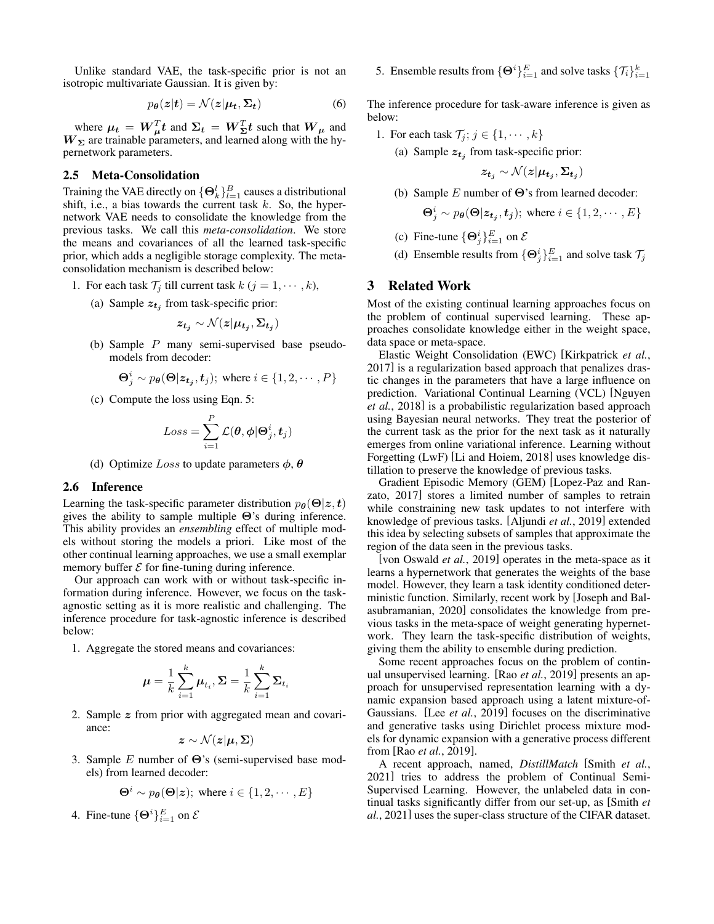Unlike standard VAE, the task-specific prior is not an isotropic multivariate Gaussian. It is given by:

$$
p_{\theta}(z|t) = \mathcal{N}(z|\mu_t, \Sigma_t)
$$
 (6)

where  $\mu_t = W_{\mu}^T t$  and  $\Sigma_t = W_{\Sigma}^T t$  such that  $W_{\mu}$  and  $W_{\Sigma}$  are trainable parameters, and learned along with the hypernetwork parameters.

#### 2.5 Meta-Consolidation

Training the VAE directly on  $\{\Theta_k^l\}_{l=1}^B$  causes a distributional shift, i.e., a bias towards the current task  $k$ . So, the hypernetwork VAE needs to consolidate the knowledge from the previous tasks. We call this *meta-consolidation*. We store the means and covariances of all the learned task-specific prior, which adds a negligible storage complexity. The metaconsolidation mechanism is described below:

- 1. For each task  $\mathcal{T}_j$  till current task  $k$   $(j = 1, \dots, k)$ ,
	- (a) Sample  $z_{t_j}$  from task-specific prior:

$$
z_{t_j} \sim \mathcal{N}(z|\mu_{t_j}, \Sigma_{t_j})
$$

(b) Sample P many semi-supervised base pseudomodels from decoder:

$$
\mathbf{\Theta}_j^i \sim p_{\theta}(\mathbf{\Theta}|\mathbf{z}_{t_j}, t_j); \text{ where } i \in \{1, 2, \cdots, P\}
$$

(c) Compute the loss using Eqn. [5:](#page-2-1)

$$
Loss = \sum_{i=1}^{P} \mathcal{L}(\theta, \phi | \Theta_j^i, t_j)
$$

(d) Optimize Loss to update parameters  $\phi$ ,  $\theta$ 

#### 2.6 Inference

Learning the task-specific parameter distribution  $p_{\theta}(\Theta | z, t)$ gives the ability to sample multiple  $\Theta$ 's during inference. This ability provides an *ensembling* effect of multiple models without storing the models a priori. Like most of the other continual learning approaches, we use a small exemplar memory buffer  $\mathcal E$  for fine-tuning during inference.

Our approach can work with or without task-specific information during inference. However, we focus on the taskagnostic setting as it is more realistic and challenging. The inference procedure for task-agnostic inference is described below:

1. Aggregate the stored means and covariances:

$$
\boldsymbol{\mu} = \frac{1}{k} \sum_{i=1}^k \boldsymbol{\mu}_{t_i}, \boldsymbol{\Sigma} = \frac{1}{k} \sum_{i=1}^k \boldsymbol{\Sigma}_{t_i}
$$

2. Sample z from prior with aggregated mean and covariance:

$$
\boldsymbol{z}\sim\mathcal{N}(\boldsymbol{z}|\boldsymbol{\mu},\boldsymbol{\Sigma})
$$

3. Sample E number of  $\Theta$ 's (semi-supervised base models) from learned decoder:

$$
\Theta^i \sim p_{\theta}(\Theta | \mathbf{z}); \text{ where } i \in \{1, 2, \cdots, E\}
$$

4. Fine-tune  $\{\Theta^i\}_{i=1}^E$  on  $\mathcal E$ 

5. Ensemble results from  $\{\Theta^i\}_{i=1}^E$  and solve tasks  $\{\mathcal{T}_i\}_{i=1}^k$ 

The inference procedure for task-aware inference is given as below:

- 1. For each task  $\mathcal{T}_j$ ;  $j \in \{1, \dots, k\}$ 
	- (a) Sample  $z_{t_j}$  from task-specific prior:

$$
z_{t_j} \sim \mathcal{N}(z|\mu_{t_j}, \Sigma_{t_j})
$$

(b) Sample  $E$  number of  $\Theta$ 's from learned decoder:

$$
\Theta_j^i \sim p_{\theta}(\Theta | \mathbf{z}_{t_j}, t_j); \text{ where } i \in \{1, 2, \cdots, E\}
$$

- (c) Fine-tune  $\{\Theta_j^i\}_{i=1}^E$  on  $\mathcal{E}$
- (d) Ensemble results from  $\{\Theta_j^i\}_{i=1}^E$  and solve task  $\mathcal{T}_j$

### 3 Related Work

Most of the existing continual learning approaches focus on the problem of continual supervised learning. These approaches consolidate knowledge either in the weight space, data space or meta-space.

Elastic Weight Consolidation (EWC) [\[Kirkpatrick](#page-6-0) *et al.*, [2017\]](#page-6-0) is a regularization based approach that penalizes drastic changes in the parameters that have a large influence on prediction. Variational Continual Learning (VCL) [\[Nguyen](#page-6-6) *et al.*[, 2018\]](#page-6-6) is a probabilistic regularization based approach using Bayesian neural networks. They treat the posterior of the current task as the prior for the next task as it naturally emerges from online variational inference. Learning without Forgetting (LwF) [\[Li and Hoiem, 2018\]](#page-6-4) uses knowledge distillation to preserve the knowledge of previous tasks.

Gradient Episodic Memory (GEM) [\[Lopez-Paz and Ran](#page-6-10)[zato, 2017\]](#page-6-10) stores a limited number of samples to retrain while constraining new task updates to not interfere with knowledge of previous tasks. [\[Aljundi](#page-6-11) *et al.*, 2019] extended this idea by selecting subsets of samples that approximate the region of the data seen in the previous tasks.

[\[von Oswald](#page-6-25) *et al.*, 2019] operates in the meta-space as it learns a hypernetwork that generates the weights of the base model. However, they learn a task identity conditioned deterministic function. Similarly, recent work by [\[Joseph and Bal](#page-6-19)[asubramanian, 2020\]](#page-6-19) consolidates the knowledge from previous tasks in the meta-space of weight generating hypernetwork. They learn the task-specific distribution of weights, giving them the ability to ensemble during prediction.

Some recent approaches focus on the problem of continual unsupervised learning. [Rao *et al.*[, 2019\]](#page-6-2) presents an approach for unsupervised representation learning with a dynamic expansion based approach using a latent mixture-of-Gaussians. [Lee *et al.*[, 2019\]](#page-6-1) focuses on the discriminative and generative tasks using Dirichlet process mixture models for dynamic expansion with a generative process different from [Rao *et al.*[, 2019\]](#page-6-2).

A recent approach, named, *DistillMatch* [\[Smith](#page-6-3) *et al.*, [2021\]](#page-6-3) tries to address the problem of Continual Semi-Supervised Learning. However, the unlabeled data in continual tasks significantly differ from our set-up, as [\[Smith](#page-6-3) *et al.*[, 2021\]](#page-6-3) uses the super-class structure of the CIFAR dataset.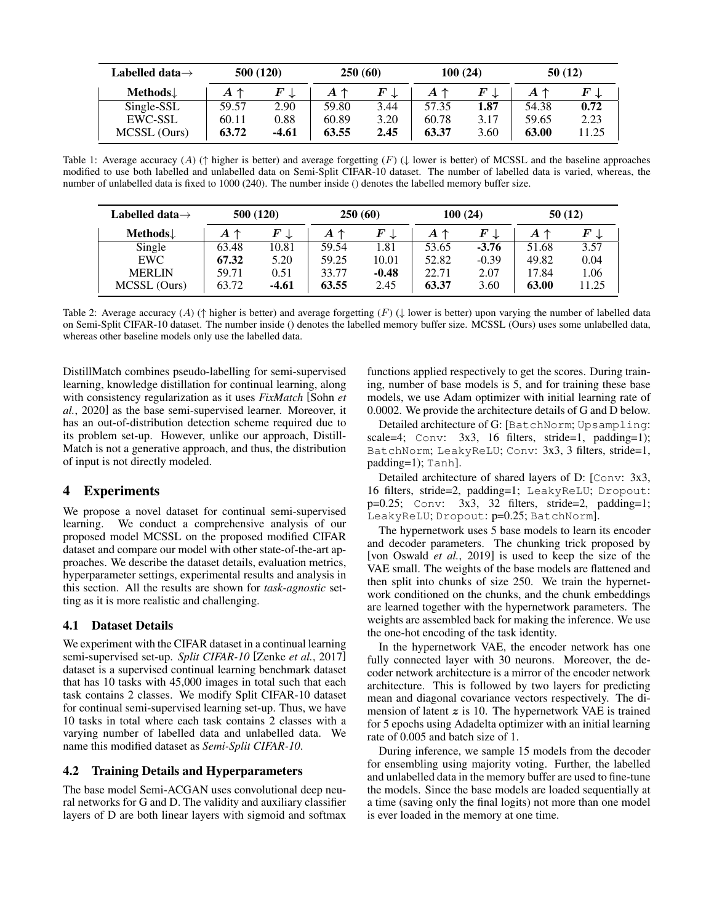<span id="page-4-0"></span>

| Labelled data $\rightarrow$ | 500 (120)    |       | 250(60) |      | 100(24)      |      | 50(12)       |       |
|-----------------------------|--------------|-------|---------|------|--------------|------|--------------|-------|
| Methods $\downarrow$        | $A \uparrow$ |       | Α↑      |      | $A \uparrow$ |      | $A \uparrow$ |       |
| Single-SSL                  | 59.57        | 2.90  | 59.80   | 3.44 | 57.35        | 1.87 | 54.38        | 0.72  |
| <b>EWC-SSL</b>              | 60.11        | 0.88  | 60.89   | 3.20 | 60.78        | 3.17 | 59.65        | 2.23  |
| MCSSL (Ours)                | 63.72        | -4.61 | 63.55   | 2.45 | 63.37        | 3.60 | 63.00        | 11.25 |

Table 1: Average accuracy (A) ( $\uparrow$  higher is better) and average forgetting (F) ( $\downarrow$  lower is better) of MCSSL and the baseline approaches modified to use both labelled and unlabelled data on Semi-Split CIFAR-10 dataset. The number of labelled data is varied, whereas, the number of unlabelled data is fixed to 1000 (240). The number inside () denotes the labelled memory buffer size.

<span id="page-4-1"></span>

| Labelled data $\rightarrow$ | 500 (120) |                | 250(60)      |                | 100(24)      |                | 50(12)       |                |
|-----------------------------|-----------|----------------|--------------|----------------|--------------|----------------|--------------|----------------|
| Methods $\downarrow$        | A<br>↑    | $F \downarrow$ | $A \uparrow$ | $F \downarrow$ | $A \uparrow$ | $F \downarrow$ | $A \uparrow$ | $F \downarrow$ |
| Single                      | 63.48     | 10.81          | 59.54        | 1.81           | 53.65        | $-3.76$        | 51.68        | 3.57           |
| <b>EWC</b>                  | 67.32     | 5.20           | 59.25        | 10.01          | 52.82        | $-0.39$        | 49.82        | 0.04           |
| <b>MERLIN</b>               | 59.71     | 0.51           | 33.77        | $-0.48$        | 22.71        | 2.07           | 17.84        | 1.06           |
| MCSSL (Ours)                | 63.72     | $-4.61$        | 63.55        | 2.45           | 63.37        | 3.60           | 63.00        | 11.25          |

Table 2: Average accuracy (A) ( $\uparrow$  higher is better) and average forgetting (F) ( $\downarrow$  lower is better) upon varying the number of labelled data on Semi-Split CIFAR-10 dataset. The number inside () denotes the labelled memory buffer size. MCSSL (Ours) uses some unlabelled data, whereas other baseline models only use the labelled data.

DistillMatch combines pseudo-labelling for semi-supervised learning, knowledge distillation for continual learning, along with consistency regularization as it uses *FixMatch* [\[Sohn](#page-6-26) *et al.*[, 2020\]](#page-6-26) as the base semi-supervised learner. Moreover, it has an out-of-distribution detection scheme required due to its problem set-up. However, unlike our approach, Distill-Match is not a generative approach, and thus, the distribution of input is not directly modeled.

## 4 Experiments

We propose a novel dataset for continual semi-supervised learning. We conduct a comprehensive analysis of our proposed model MCSSL on the proposed modified CIFAR dataset and compare our model with other state-of-the-art approaches. We describe the dataset details, evaluation metrics, hyperparameter settings, experimental results and analysis in this section. All the results are shown for *task-agnostic* setting as it is more realistic and challenging.

### 4.1 Dataset Details

We experiment with the CIFAR dataset in a continual learning semi-supervised set-up. *Split CIFAR-10* [Zenke *et al.*[, 2017\]](#page-6-5) dataset is a supervised continual learning benchmark dataset that has 10 tasks with 45,000 images in total such that each task contains 2 classes. We modify Split CIFAR-10 dataset for continual semi-supervised learning set-up. Thus, we have 10 tasks in total where each task contains 2 classes with a varying number of labelled data and unlabelled data. We name this modified dataset as *Semi-Split CIFAR-10*.

### 4.2 Training Details and Hyperparameters

The base model Semi-ACGAN uses convolutional deep neural networks for G and D. The validity and auxiliary classifier layers of D are both linear layers with sigmoid and softmax functions applied respectively to get the scores. During training, number of base models is 5, and for training these base models, we use Adam optimizer with initial learning rate of 0.0002. We provide the architecture details of G and D below.

Detailed architecture of G: [BatchNorm; Upsampling: scale=4; Conv: 3x3, 16 filters, stride=1, padding=1); BatchNorm; LeakyReLU; Conv: 3x3, 3 filters, stride=1, padding=1); Tanh].

Detailed architecture of shared layers of D: [Conv: 3x3, 16 filters, stride=2, padding=1; LeakyReLU; Dropout:  $p=0.25$ ; Conv:  $3x3$ , 32 filters, stride=2, padding=1; LeakyReLU; Dropout: p=0.25; BatchNorm].

The hypernetwork uses 5 base models to learn its encoder and decoder parameters. The chunking trick proposed by [\[von Oswald](#page-6-25) *et al.*, 2019] is used to keep the size of the VAE small. The weights of the base models are flattened and then split into chunks of size 250. We train the hypernetwork conditioned on the chunks, and the chunk embeddings are learned together with the hypernetwork parameters. The weights are assembled back for making the inference. We use the one-hot encoding of the task identity.

In the hypernetwork VAE, the encoder network has one fully connected layer with 30 neurons. Moreover, the decoder network architecture is a mirror of the encoder network architecture. This is followed by two layers for predicting mean and diagonal covariance vectors respectively. The dimension of latent  $z$  is 10. The hypernetwork VAE is trained for 5 epochs using Adadelta optimizer with an initial learning rate of 0.005 and batch size of 1.

During inference, we sample 15 models from the decoder for ensembling using majority voting. Further, the labelled and unlabelled data in the memory buffer are used to fine-tune the models. Since the base models are loaded sequentially at a time (saving only the final logits) not more than one model is ever loaded in the memory at one time.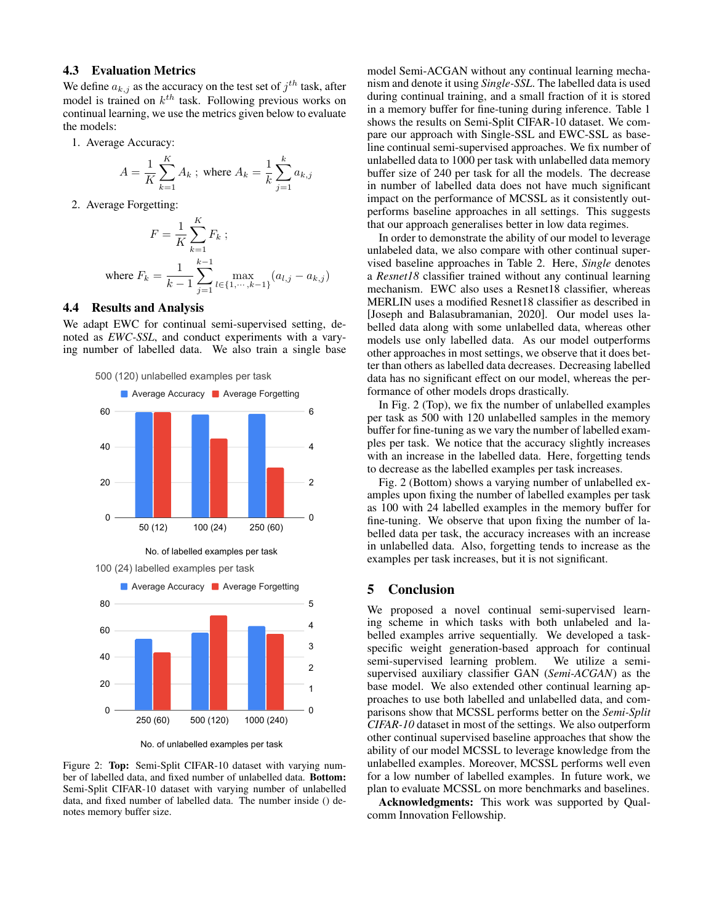### 4.3 Evaluation Metrics

We define  $a_{k,j}$  as the accuracy on the test set of  $j^{th}$  task, after model is trained on  $k^{th}$  task. Following previous works on continual learning, we use the metrics given below to evaluate the models:

1. Average Accuracy:

$$
A = \frac{1}{K} \sum_{k=1}^{K} A_k
$$
; where  $A_k = \frac{1}{k} \sum_{j=1}^{k} a_{k,j}$ 

2. Average Forgetting:

$$
F = \frac{1}{K} \sum_{k=1}^{K} F_k ;
$$
  
where  $F_k = \frac{1}{k-1} \sum_{j=1}^{k-1} \max_{l \in \{1, \dots, k-1\}} (a_{l,j} - a_{k,j})$ 

## 4.4 Results and Analysis

We adapt EWC for continual semi-supervised setting, denoted as *EWC-SSL*, and conduct experiments with a varying number of labelled data. We also train a single base

<span id="page-5-0"></span>500 (120) unlabelled examples per task



No. of labelled examples per task



No. of unlabelled examples per task

Figure 2: Top: Semi-Split CIFAR-10 dataset with varying number of labelled data, and fixed number of unlabelled data. Bottom: Semi-Split CIFAR-10 dataset with varying number of unlabelled data, and fixed number of labelled data. The number inside () denotes memory buffer size.

model Semi-ACGAN without any continual learning mechanism and denote it using *Single-SSL*. The labelled data is used during continual training, and a small fraction of it is stored in a memory buffer for fine-tuning during inference. Table [1](#page-4-0) shows the results on Semi-Split CIFAR-10 dataset. We compare our approach with Single-SSL and EWC-SSL as baseline continual semi-supervised approaches. We fix number of unlabelled data to 1000 per task with unlabelled data memory buffer size of 240 per task for all the models. The decrease in number of labelled data does not have much significant impact on the performance of MCSSL as it consistently outperforms baseline approaches in all settings. This suggests that our approach generalises better in low data regimes.

In order to demonstrate the ability of our model to leverage unlabeled data, we also compare with other continual supervised baseline approaches in Table [2.](#page-4-1) Here, *Single* denotes a *Resnet18* classifier trained without any continual learning mechanism. EWC also uses a Resnet18 classifier, whereas MERLIN uses a modified Resnet18 classifier as described in [\[Joseph and Balasubramanian, 2020\]](#page-6-19). Our model uses labelled data along with some unlabelled data, whereas other models use only labelled data. As our model outperforms other approaches in most settings, we observe that it does better than others as labelled data decreases. Decreasing labelled data has no significant effect on our model, whereas the performance of other models drops drastically.

In Fig. [2](#page-5-0) (Top), we fix the number of unlabelled examples per task as 500 with 120 unlabelled samples in the memory buffer for fine-tuning as we vary the number of labelled examples per task. We notice that the accuracy slightly increases with an increase in the labelled data. Here, forgetting tends to decrease as the labelled examples per task increases.

Fig. [2](#page-5-0) (Bottom) shows a varying number of unlabelled examples upon fixing the number of labelled examples per task as 100 with 24 labelled examples in the memory buffer for fine-tuning. We observe that upon fixing the number of labelled data per task, the accuracy increases with an increase in unlabelled data. Also, forgetting tends to increase as the examples per task increases, but it is not significant.

## 5 Conclusion

We proposed a novel continual semi-supervised learning scheme in which tasks with both unlabeled and labelled examples arrive sequentially. We developed a taskspecific weight generation-based approach for continual semi-supervised learning problem. We utilize a semisupervised auxiliary classifier GAN (*Semi-ACGAN*) as the base model. We also extended other continual learning approaches to use both labelled and unlabelled data, and comparisons show that MCSSL performs better on the *Semi-Split CIFAR-10* dataset in most of the settings. We also outperform other continual supervised baseline approaches that show the ability of our model MCSSL to leverage knowledge from the unlabelled examples. Moreover, MCSSL performs well even for a low number of labelled examples. In future work, we plan to evaluate MCSSL on more benchmarks and baselines.

Acknowledgments: This work was supported by Qualcomm Innovation Fellowship.